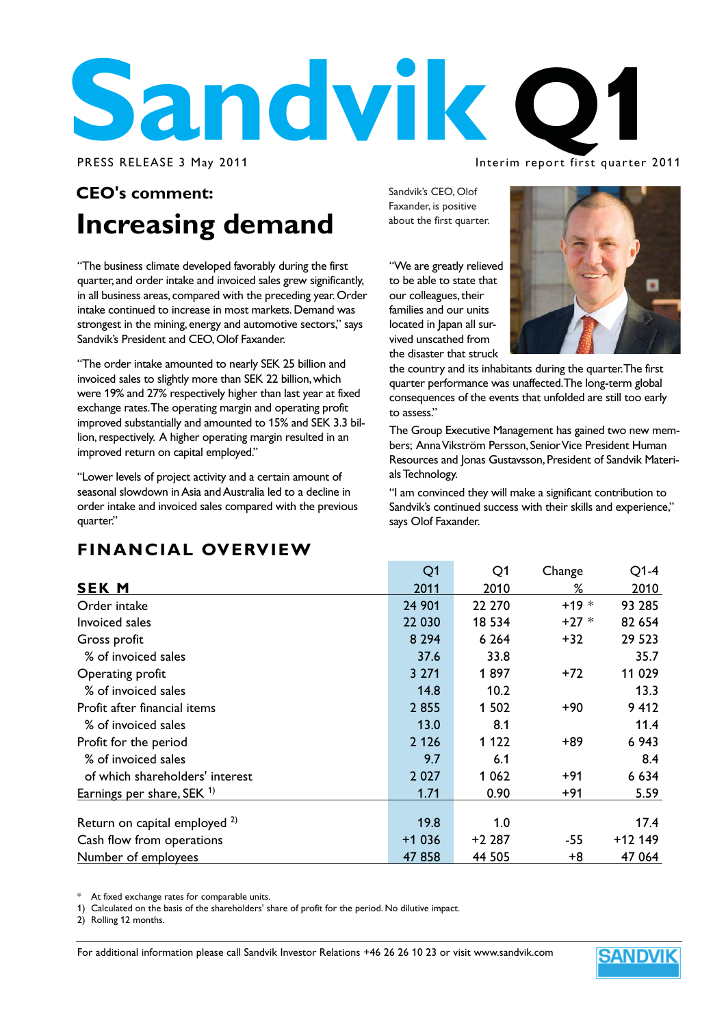

#### Interim report first quarter 2011

### **CEO's comment: Increasing demand**

"The business climate developed favorably during the first quarter, and order intake and invoiced sales grew significantly, in all business areas, compared with the preceding year. Order intake continued to increase in most markets. Demand was strongest in the mining, energy and automotive sectors," says Sandvik's President and CEO, Olof Faxander.

"The order intake amounted to nearly SEK 25 billion and invoiced sales to slightly more than SEK 22 billion, which were 19% and 27% respectively higher than last year at fixed exchange rates. The operating margin and operating profit improved substantially and amounted to 15% and SEK 3.3 billion, respectively. A higher operating margin resulted in an improved return on capital employed."

"Lower levels of project activity and a certain amount of seasonal slowdown in Asia and Australia led to a decline in order intake and invoiced sales compared with the previous quarter."

Sandvik's CEO, Olof Faxander, is positive about the first quarter.

"We are greatly relieved to be able to state that our colleagues, their families and our units located in Japan all survived unscathed from the disaster that struck



the country and its inhabitants during the quarter. The first quarter performance was unaffected. The long-term global consequences of the events that unfolded are still too early to assess."

The Group Executive Management has gained two new members; Anna Vikström Persson, Senior Vice President Human Resources and Jonas Gustavsson, President of Sandvik Materials Technology.

"I am convinced they will make a significant contribution to Sandvik's continued success with their skills and experience," says Olof Faxander.

### **FINANCIAL OVERVIEW**

|                                          | Q <sub>1</sub> | Q1      | Change | $Q1-4$   |
|------------------------------------------|----------------|---------|--------|----------|
| <b>SEK M</b>                             | 2011           | 2010    | ℅      | 2010     |
| Order intake                             | 24 901         | 22 270  | $+19*$ | 93 285   |
| Invoiced sales                           | 22 030         | 18 5 34 | $+27*$ | 82 654   |
| Gross profit                             | 8 2 9 4        | 6 2 6 4 | $+32$  | 29 5 23  |
| % of invoiced sales                      | 37.6           | 33.8    |        | 35.7     |
| Operating profit                         | 3 2 7 1        | 1897    | $+72$  | 11 029   |
| % of invoiced sales                      | 14.8           | 10.2    |        | 13.3     |
| Profit after financial items             | 2855           | 1 502   | +90    | 9 4 1 2  |
| % of invoiced sales                      | 13.0           | 8.1     |        | 11.4     |
| Profit for the period                    | 2 1 2 6        | 1 1 2 2 | +89    | 6 9 43   |
| % of invoiced sales                      | 9.7            | 6.1     |        | 8.4      |
| of which shareholders' interest          | 2 0 2 7        | 1 0 6 2 | +91    | 6 6 3 4  |
| Earnings per share, SEK 1)               | 1.71           | 0.90    | $+91$  | 5.59     |
| Return on capital employed <sup>2)</sup> | 19.8           | 1.0     |        | 17.4     |
| Cash flow from operations                | $+1036$        | +2 287  | $-55$  | $+12149$ |
| Number of employees                      | 47858          | 44 505  | +8     | 47 064   |

At fixed exchange rates for comparable units.

1) Calculated on the basis of the shareholders' share of profit for the period. No dilutive impact.

2) Rolling 12 months.

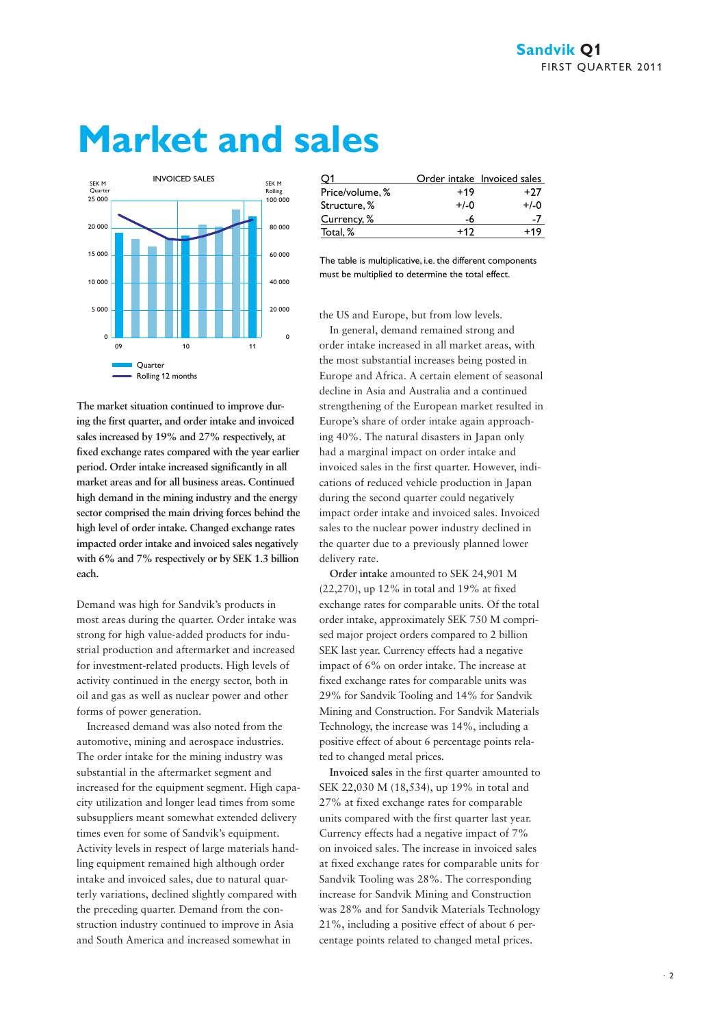# **Market and sales**



| The market situation continued to improve dur-       |
|------------------------------------------------------|
| ing the first quarter, and order intake and invoiced |
| sales increased by 19% and 27% respectively, at      |
| fixed exchange rates compared with the year earlier  |
| period. Order intake increased significantly in all  |
| market areas and for all business areas. Continued   |
| high demand in the mining industry and the energy    |
| sector comprised the main driving forces behind the  |
| high level of order intake. Changed exchange rates   |
| impacted order intake and invoiced sales negatively  |
| with 6% and 7% respectively or by SEK 1.3 billion    |
| each.                                                |

Demand was high for Sandvik's products in most areas during the quarter. Order intake was strong for high value-added products for industrial production and aftermarket and increased for investment-related products. High levels of activity continued in the energy sector, both in oil and gas as well as nuclear power and other forms of power generation.

Increased demand was also noted from the automotive, mining and aerospace industries. The order intake for the mining industry was substantial in the aftermarket segment and increased for the equipment segment. High capacity utilization and longer lead times from some subsuppliers meant somewhat extended delivery times even for some of Sandvik's equipment. Activity levels in respect of large materials handling equipment remained high although order intake and invoiced sales, due to natural quarterly variations, declined slightly compared with the preceding quarter. Demand from the construction industry continued to improve in Asia and South America and increased somewhat in

|                 |        | Order intake Invoiced sales |
|-----------------|--------|-----------------------------|
| Price/volume, % | $+19$  | $+27$                       |
| Structure, %    | $+/-0$ | $+/-0$                      |
| Currency, %     | -6     |                             |
| Total, %        | +17    |                             |

The table is multiplicative, i.e. the different components must be multiplied to determine the total effect.

the US and Europe, but from low levels.

In general, demand remained strong and order intake increased in all market areas, with the most substantial increases being posted in Europe and Africa. A certain element of seasonal decline in Asia and Australia and a continued strengthening of the European market resulted in Europe's share of order intake again approaching 40%. The natural disasters in Japan only had a marginal impact on order intake and invoiced sales in the first quarter. However, indications of reduced vehicle production in Japan during the second quarter could negatively impact order intake and invoiced sales. Invoiced sales to the nuclear power industry declined in the quarter due to a previously planned lower delivery rate.

**Order intake** amounted to SEK 24,901 M (22,270), up 12% in total and 19% at fixed exchange rates for comparable units. Of the total order intake, approximately SEK 750 M comprised major project orders compared to 2 billion SEK last year. Currency effects had a negative impact of 6% on order intake. The increase at fixed exchange rates for comparable units was 29% for Sandvik Tooling and 14% for Sandvik Mining and Construction. For Sandvik Materials Technology, the increase was 14%, including a positive effect of about 6 percentage points related to changed metal prices.

**Invoiced sales** in the first quarter amounted to SEK 22,030 M (18,534), up 19% in total and 27% at fixed exchange rates for comparable units compared with the first quarter last year. Currency effects had a negative impact of 7% on invoiced sales. The increase in invoiced sales at fixed exchange rates for comparable units for Sandvik Tooling was 28%. The corresponding increase for Sandvik Mining and Construction was 28% and for Sandvik Materials Technology 21%, including a positive effect of about 6 percentage points related to changed metal prices.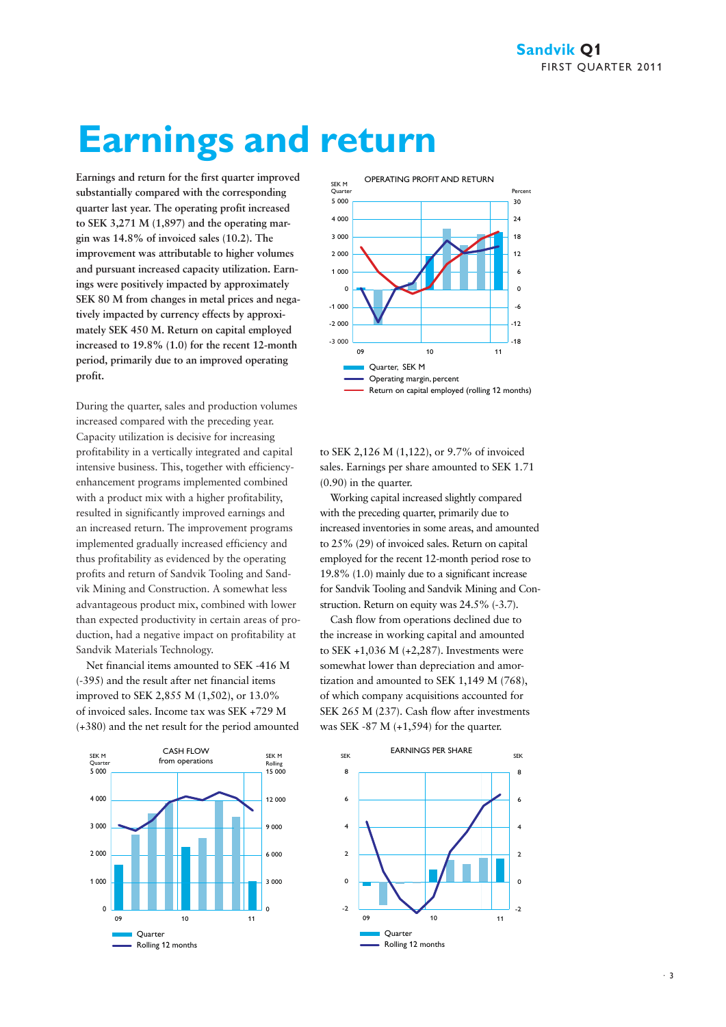# **Earnings and return**

**Earnings and return for the first quarter improved substantially compared with the corresponding quarter last year. The operating profit increased to SEK 3,271 M (1,897) and the operating margin was 14.8% of invoiced sales (10.2). The improvement was attributable to higher volumes and pursuant increased capacity utilization. Earnings were positively impacted by approximately SEK 80 M from changes in metal prices and negatively impacted by currency effects by approximately SEK 450 M. Return on capital employed increased to 19.8% (1.0) for the recent 12-month period, primarily due to an improved operating profit.** 

During the quarter, sales and production volumes increased compared with the preceding year. Capacity utilization is decisive for increasing profitability in a vertically integrated and capital intensive business. This, together with efficiencyenhancement programs implemented combined with a product mix with a higher profitability, resulted in significantly improved earnings and an increased return. The improvement programs implemented gradually increased efficiency and thus profitability as evidenced by the operating profits and return of Sandvik Tooling and Sandvik Mining and Construction. A somewhat less advantageous product mix, combined with lower than expected productivity in certain areas of production, had a negative impact on profitability at Sandvik Materials Technology.

Net financial items amounted to SEK -416 M (-395) and the result after net financial items improved to SEK 2,855 M (1,502), or 13.0% of invoiced sales. Income tax was SEK +729 M (+380) and the net result for the period amounted





to SEK 2,126 M (1,122), or 9.7% of invoiced sales. Earnings per share amounted to SEK 1.71 (0.90) in the quarter.

Working capital increased slightly compared with the preceding quarter, primarily due to increased inventories in some areas, and amounted to 25% (29) of invoiced sales. Return on capital employed for the recent 12-month period rose to 19.8% (1.0) mainly due to a significant increase for Sandvik Tooling and Sandvik Mining and Construction. Return on equity was 24.5% (-3.7).

Cash flow from operations declined due to the increase in working capital and amounted to SEK +1,036 M (+2,287). Investments were somewhat lower than depreciation and amortization and amounted to SEK 1,149 M (768), of which company acquisitions accounted for SEK 265 M (237). Cash flow after investments was SEK -87 M  $(+1,594)$  for the quarter.

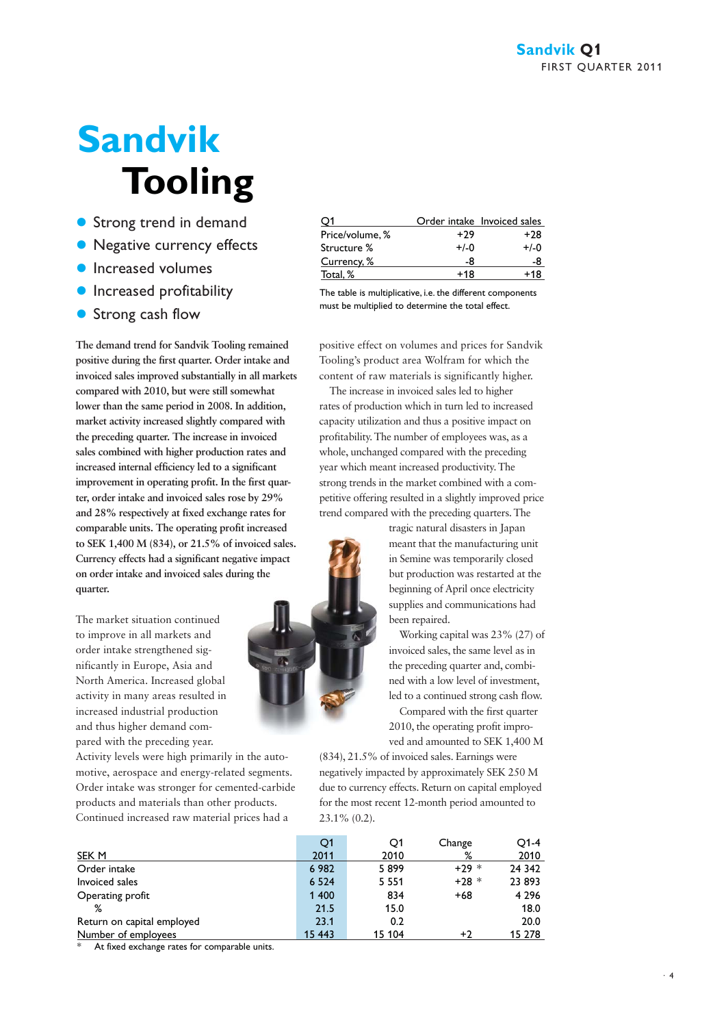# **Sandvik Tooling**

- **Strong trend in demand**
- Negative currency effects
- **Increased volumes**
- **Increased profitability**
- **Strong cash flow**

**The demand trend for Sandvik Tooling remained positive during the first quarter. Order intake and invoiced sales improved substantially in all markets compared with 2010, but were still somewhat lower than the same period in 2008. In addition, market activity increased slightly compared with the preceding quarter. The increase in invoiced sales combined with higher production rates and increased internal efficiency led to a significant improvement in operating profit. In the first quarter, order intake and invoiced sales rose by 29% and 28% respectively at fixed exchange rates for comparable units. The operating profit increased to SEK 1,400 M (834), or 21.5% of invoiced sales. Currency effects had a significant negative impact on order intake and invoiced sales during the quarter.**

The market situation continued to improve in all markets and order intake strengthened significantly in Europe, Asia and North America. Increased global activity in many areas resulted in increased industrial production and thus higher demand compared with the preceding year.

Activity levels were high primarily in the automotive, aerospace and energy-related segments. Order intake was stronger for cemented-carbide products and materials than other products. Continued increased raw material prices had a

|                 |        | Order intake Invoiced sales |
|-----------------|--------|-----------------------------|
| Price/volume, % | +29    | $+28$                       |
| Structure %     | $+/-0$ | $+/-0$                      |
| Currency, %     | -8     |                             |
| Total. %        | +18    | +18                         |
|                 |        |                             |

The table is multiplicative, i.e. the different components must be multiplied to determine the total effect.

positive effect on volumes and prices for Sandvik Tooling's product area Wolfram for which the content of raw materials is significantly higher.

The increase in invoiced sales led to higher rates of production which in turn led to increased capacity utilization and thus a positive impact on profitability. The number of employees was, as a whole, unchanged compared with the preceding year which meant increased productivity. The strong trends in the market combined with a competitive offering resulted in a slightly improved price trend compared with the preceding quarters. The

> tragic natural disasters in Japan meant that the manufacturing unit in Semine was temporarily closed but production was restarted at the beginning of April once electricity supplies and communications had been repaired.

Working capital was 23% (27) of invoiced sales, the same level as in the preceding quarter and, combined with a low level of investment, led to a continued strong cash flow.

Compared with the first quarter 2010, the operating profit improved and amounted to SEK 1,400 M

(834), 21.5% of invoiced sales. Earnings were negatively impacted by approximately SEK 250 M due to currency effects. Return on capital employed for the most recent 12-month period amounted to 23.1% (0.2).

|                            | Q1      | Q1      | Change  | O1-4    |
|----------------------------|---------|---------|---------|---------|
| SEK M                      | 2011    | 2010    | %       | 2010    |
| Order intake               | 6982    | 5899    | $+29*$  | 24 342  |
| Invoiced sales             | 6 5 2 4 | 5 5 5 1 | $+28$ * | 23 893  |
| Operating profit           | 1 400   | 834     | $+68$   | 4 2 9 6 |
| %                          | 21.5    | 15.0    |         | 18.0    |
| Return on capital employed | 23.1    | 0.2     |         | 20.0    |
| Number of employees        | 15 4 43 | 15 104  | +2      | 15 278  |

At fixed exchange rates for comparable units.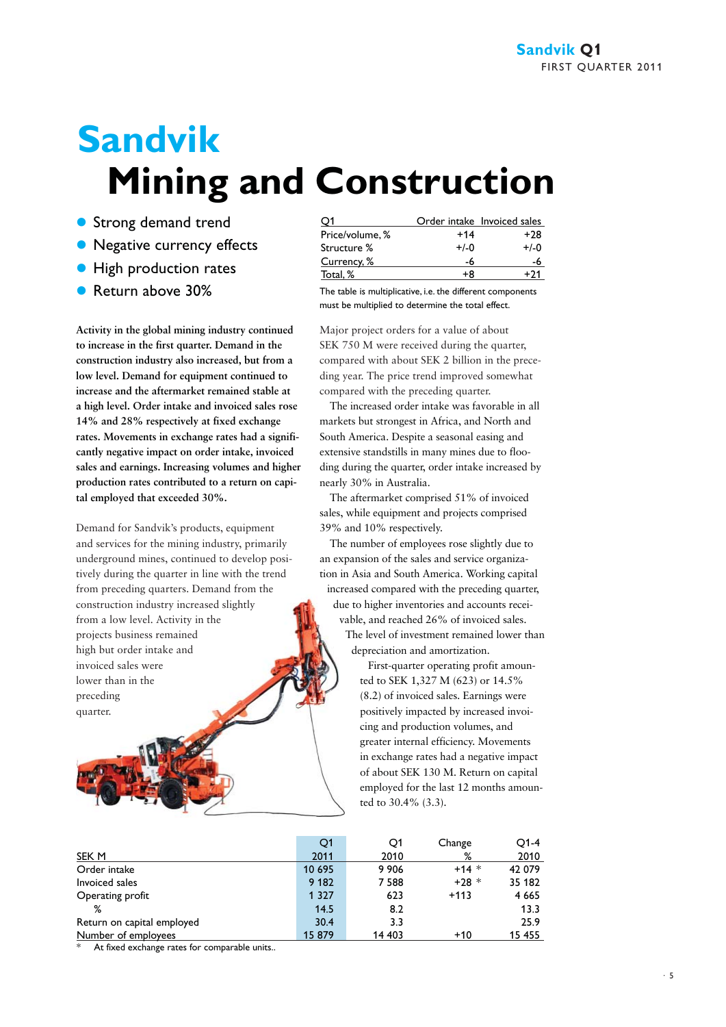# **Sandvik Mining and Construction**

- **Strong demand trend**
- Negative currency effects
- **High production rates**
- Return above 30% The table is multiplicative, i.e. the different components

**Activity in the global mining industry continued to increase in the first quarter. Demand in the construction industry also increased, but from a low level. Demand for equipment continued to increase and the aftermarket remained stable at a high level. Order intake and invoiced sales rose 14% and 28% respectively at fixed exchange rates. Movements in exchange rates had a significantly negative impact on order intake, invoiced sales and earnings. Increasing volumes and higher production rates contributed to a return on capital employed that exceeded 30%.**

Demand for Sandvik's products, equipment and services for the mining industry, primarily underground mines, continued to develop positively during the quarter in line with the trend from preceding quarters. Demand from the construction industry increased slightly from a low level. Activity in the projects business remained high but order intake and invoiced sales were lower than in the preceding quarter.

| 01              |        | Order intake Invoiced sales |
|-----------------|--------|-----------------------------|
| Price/volume, % | $+14$  | $+28$                       |
| Structure %     | $+/-0$ | $+/-0$                      |
| Currency, %     | -6     |                             |
| Total, %        | +8     | $+71$                       |
|                 |        |                             |

must be multiplied to determine the total effect.

Major project orders for a value of about SEK 750 M were received during the quarter, compared with about SEK 2 billion in the preceding year. The price trend improved somewhat compared with the preceding quarter.

The increased order intake was favorable in all markets but strongest in Africa, and North and South America. Despite a seasonal easing and extensive standstills in many mines due to flooding during the quarter, order intake increased by nearly 30% in Australia.

The aftermarket comprised 51% of invoiced sales, while equipment and projects comprised 39% and 10% respectively.

The number of employees rose slightly due to an expansion of the sales and service organization in Asia and South America. Working capital increased compared with the preceding quarter,

due to higher inventories and accounts receivable, and reached 26% of invoiced sales.

The level of investment remained lower than depreciation and amortization.

First-quarter operating profit amounted to SEK 1,327 M (623) or 14.5% (8.2) of invoiced sales. Earnings were positively impacted by increased invoicing and production volumes, and greater internal efficiency. Movements in exchange rates had a negative impact of about SEK 130 M. Return on capital employed for the last 12 months amounted to 30.4% (3.3).

|                            | Q1      | Q1      | Change  | O1-4    |
|----------------------------|---------|---------|---------|---------|
| SEK M                      | 2011    | 2010    | %       | 2010    |
| Order intake               | 10 695  | 9 9 0 6 | $+14$ * | 42 079  |
| Invoiced sales             | 9 182   | 7 5 8 8 | $+28$ * | 35 182  |
| Operating profit           | 1 3 2 7 | 623     | $+113$  | 4 6 6 5 |
| %                          | 14.5    | 8.2     |         | 13.3    |
| Return on capital employed | 30.4    | 3.3     |         | 25.9    |
| Number of employees        | 15 879  | 14 403  | $+10$   | 15 455  |

At fixed exchange rates for comparable units..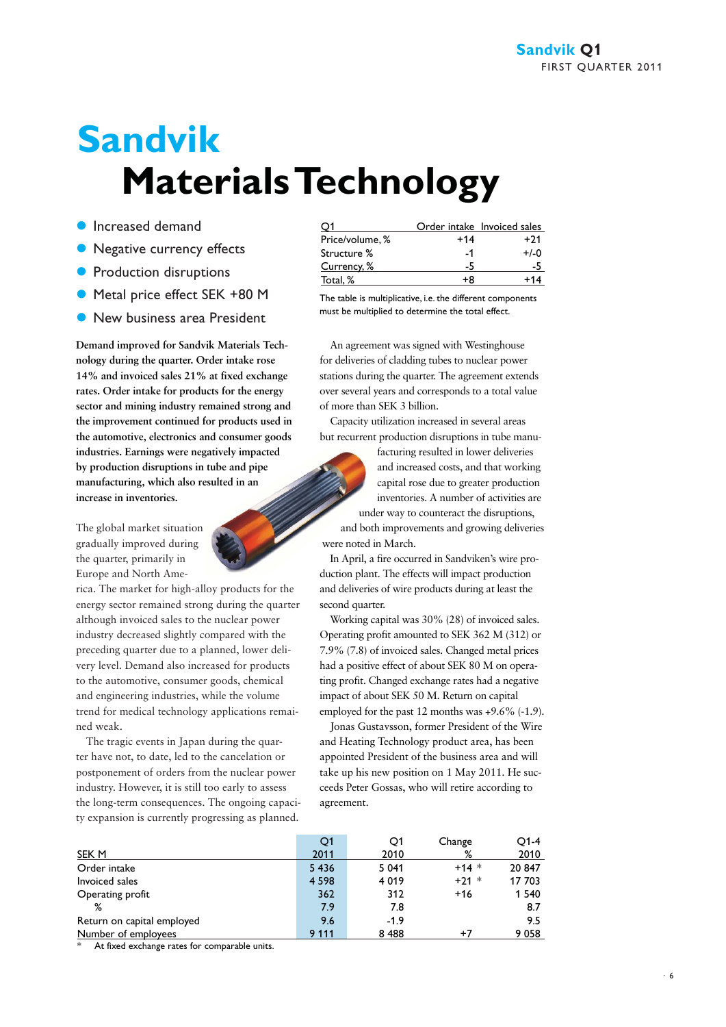# **Sandvik Materials Technology**

- **Increased demand**
- Negative currency effects
- **•** Production disruptions
- Metal price effect SEK +80 M
- **New business area President**

**Demand improved for Sandvik Materials Technology during the quarter. Order intake rose 14% and invoiced sales 21% at fixed exchange rates. Order intake for products for the energy sector and mining industry remained strong and the improvement continued for products used in the automotive, electronics and consumer goods industries. Earnings were negatively impacted by production disruptions in tube and pipe manufacturing, which also resulted in an increase in inventories.** 

The global market situation gradually improved during the quarter, primarily in Europe and North Ame-



rica. The market for high-alloy products for the energy sector remained strong during the quarter although invoiced sales to the nuclear power industry decreased slightly compared with the preceding quarter due to a planned, lower delivery level. Demand also increased for products to the automotive, consumer goods, chemical and engineering industries, while the volume trend for medical technology applications remained weak.

The tragic events in Japan during the quarter have not, to date, led to the cancelation or postponement of orders from the nuclear power industry. However, it is still too early to assess the long-term consequences. The ongoing capacity expansion is currently progressing as planned.

|                 |       | Order intake Invoiced sales |
|-----------------|-------|-----------------------------|
| Price/volume, % | $+14$ | +71                         |
| Structure %     | -1    | $+/-0$                      |
| Currency, %     | -5    |                             |
| Total, %        | ÷Я    |                             |

The table is multiplicative, i.e. the different components must be multiplied to determine the total effect.

An agreement was signed with Westinghouse for deliveries of cladding tubes to nuclear power stations during the quarter. The agreement extends over several years and corresponds to a total value of more than SEK 3 billion.

Capacity utilization increased in several areas but recurrent production disruptions in tube manu-

> facturing resulted in lower deliveries and increased costs, and that working capital rose due to greater production inventories. A number of activities are

under way to counteract the disruptions, and both improvements and growing deliveries were noted in March.

In April, a fire occurred in Sandviken's wire production plant. The effects will impact production and deliveries of wire products during at least the second quarter.

Working capital was 30% (28) of invoiced sales. Operating profit amounted to SEK 362 M (312) or 7.9% (7.8) of invoiced sales. Changed metal prices had a positive effect of about SEK 80 M on operating profit. Changed exchange rates had a negative impact of about SEK 50 M. Return on capital employed for the past 12 months was +9.6% (-1.9).

Jonas Gustavsson, former President of the Wire and Heating Technology product area, has been appointed President of the business area and will take up his new position on 1 May 2011. He succeeds Peter Gossas, who will retire according to agreement.

|                            | Q1      | Q1      | Change  | $O1-4$  |
|----------------------------|---------|---------|---------|---------|
| SEK M                      | 2011    | 2010    | %       | 2010    |
| Order intake               | 5 4 3 6 | 5 0 4 1 | $+14$ * | 20 847  |
| Invoiced sales             | 4 5 9 8 | 4 0 1 9 | $+21$ * | 17 703  |
| Operating profit           | 362     | 312     | $+16$   | 1 5 4 0 |
| %                          | 7.9     | 7.8     |         | 8.7     |
| Return on capital employed | 9.6     | $-1.9$  |         | 9.5     |
| Number of employees        | 9 1 1 1 | 8488    | +7      | 9058    |

At fixed exchange rates for comparable units.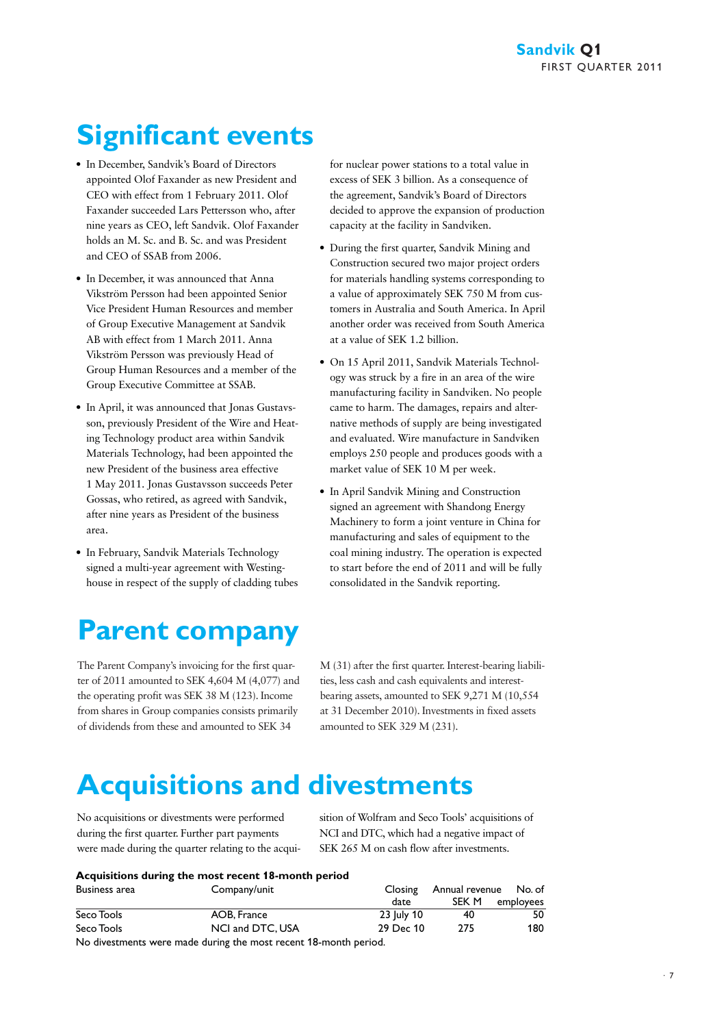## **Significant events**

- In December, Sandvik's Board of Directors appointed Olof Faxander as new President and CEO with effect from 1 February 2011. Olof Faxander succeeded Lars Pettersson who, after nine years as CEO, left Sandvik. Olof Faxander holds an M. Sc. and B. Sc. and was President and CEO of SSAB from 2006.
- In December, it was announced that Anna Vikström Persson had been appointed Senior Vice President Human Resources and member of Group Executive Management at Sandvik AB with effect from 1 March 2011. Anna Vikström Persson was previously Head of Group Human Resources and a member of the Group Executive Committee at SSAB.
- In April, it was announced that Jonas Gustavsson, previously President of the Wire and Heating Technology product area within Sandvik Materials Technology, had been appointed the new President of the business area effective 1 May 2011. Jonas Gustavsson succeeds Peter Gossas, who retired, as agreed with Sandvik, after nine years as President of the business area.
- In February, Sandvik Materials Technology signed a multi-year agreement with Westinghouse in respect of the supply of cladding tubes

## **Parent company**

The Parent Company's invoicing for the first quarter of 2011 amounted to SEK 4,604 M (4,077) and the operating profit was SEK 38 M (123). Income from shares in Group companies consists primarily of dividends from these and amounted to SEK 34

for nuclear power stations to a total value in excess of SEK 3 billion. As a consequence of the agreement, Sandvik's Board of Directors decided to approve the expansion of production capacity at the facility in Sandviken.

- During the first quarter, Sandvik Mining and Construction secured two major project orders for materials handling systems corresponding to a value of approximately SEK 750 M from customers in Australia and South America. In April another order was received from South America at a value of SEK 1.2 billion.
- On 15 April 2011, Sandvik Materials Technology was struck by a fire in an area of the wire manufacturing facility in Sandviken. No people came to harm. The damages, repairs and alternative methods of supply are being investigated and evaluated. Wire manufacture in Sandviken employs 250 people and produces goods with a market value of SEK 10 M per week.
- In April Sandvik Mining and Construction signed an agreement with Shandong Energy Machinery to form a joint venture in China for manufacturing and sales of equipment to the coal mining industry. The operation is expected to start before the end of 2011 and will be fully consolidated in the Sandvik reporting.

M (31) after the first quarter. Interest-bearing liabilities, less cash and cash equivalents and interestbearing assets, amounted to SEK 9,271 M (10,554 at 31 December 2010). Investments in fixed assets amounted to SEK 329 M (231).

## **Acquisitions and divestments**

No acquisitions or divestments were performed during the first quarter. Further part payments were made during the quarter relating to the acquisition of Wolfram and Seco Tools' acquisitions of NCI and DTC, which had a negative impact of SEK 265 M on cash flow after investments.

#### **Acquisitions during the most recent 18-month period**

| Business area                                      | Company/unit             | Closing    | Annual revenue    No. of |           |
|----------------------------------------------------|--------------------------|------------|--------------------------|-----------|
|                                                    |                          | date       | SEK M                    | employees |
| Seco Tools                                         | AOB, France              | 23 July 10 | 40                       | 50        |
| Seco Tools                                         | NCI and DTC, USA         | 29 Dec 10  | 275                      | 180       |
| <b>ALCOHOL:</b> THE R. P. LEWIS CO., LANSING MICH. | $\overline{\phantom{a}}$ |            |                          |           |

No divestments were made during the most recent 18-month period.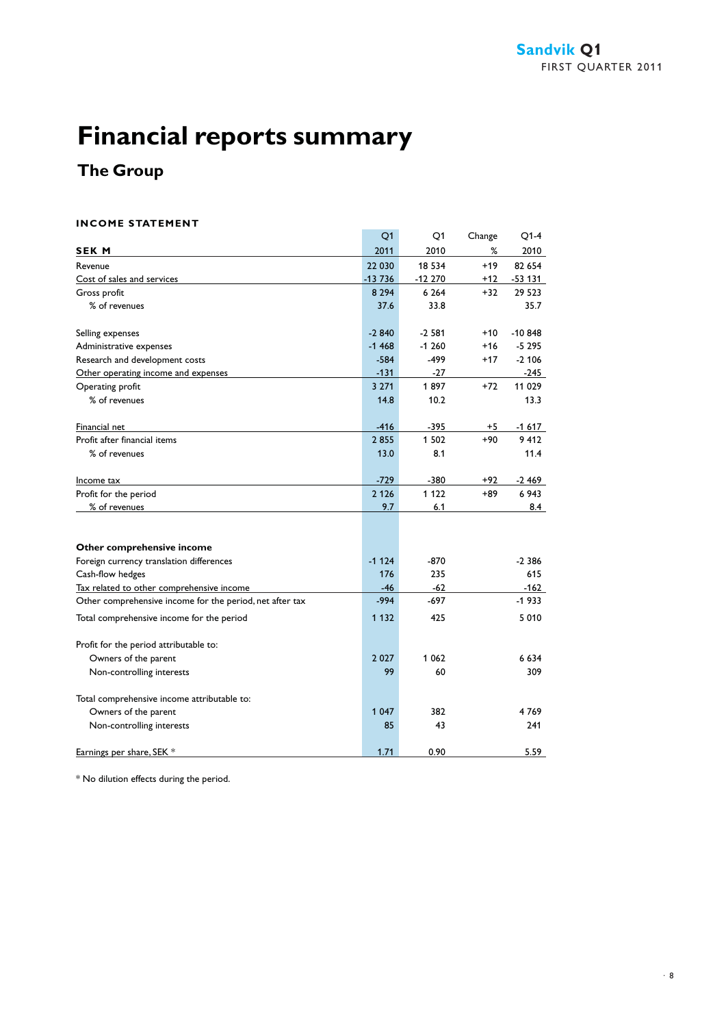### **The Group**

#### **INCOME STATEMENT**

|                                                          | Q1       | Q1       | Change | Q1-4      |
|----------------------------------------------------------|----------|----------|--------|-----------|
| <b>SEK M</b>                                             | 2011     | 2010     | %      | 2010      |
| Revenue                                                  | 22 030   | 18 5 34  | $+19$  | 82 654    |
| Cost of sales and services                               | $-13736$ | $-12270$ | $+12$  | $-53$ 131 |
| Gross profit                                             | 8 2 9 4  | 6 2 6 4  | $+32$  | 29 5 23   |
| % of revenues                                            | 37.6     | 33.8     |        | 35.7      |
| Selling expenses                                         | $-2840$  | $-2.581$ | $+10$  | $-10.848$ |
| Administrative expenses                                  | $-1468$  | $-1260$  | $+16$  | $-5295$   |
| Research and development costs                           | $-584$   | $-499$   | $+17$  | $-2,106$  |
| Other operating income and expenses                      | $-131$   | -27      |        | -245      |
| Operating profit                                         | 3 2 7 1  | 1897     | $+72$  | 11 029    |
| % of revenues                                            | 14.8     | 10.2     |        | 13.3      |
| Financial net                                            | $-416$   | $-395$   | +5     | -1 617    |
| Profit after financial items                             | 2855     | 1 502    | +90    | 9 4 1 2   |
| % of revenues                                            | 13.0     | 8.1      |        | 11.4      |
| Income tax                                               | $-729$   | $-380$   | +92    | $-2469$   |
| Profit for the period                                    | 2 1 2 6  | 1 1 2 2  | +89    | 6943      |
| % of revenues                                            | 9.7      | 6.1      |        | 8.4       |
|                                                          |          |          |        |           |
| Other comprehensive income                               |          |          |        |           |
| Foreign currency translation differences                 | $-1124$  | $-870$   |        | $-2.386$  |
| Cash-flow hedges                                         | 176      | 235      |        | 615       |
| Tax related to other comprehensive income                | $-46$    | $-62$    |        | $-162$    |
| Other comprehensive income for the period, net after tax | $-994$   | $-697$   |        | $-1933$   |
| Total comprehensive income for the period                | 1 1 3 2  | 425      |        | 5 0 1 0   |
| Profit for the period attributable to:                   |          |          |        |           |
| Owners of the parent                                     | 2 0 2 7  | 1 0 6 2  |        | 6 6 3 4   |
| Non-controlling interests                                | 99       | 60       |        | 309       |
| Total comprehensive income attributable to:              |          |          |        |           |
| Owners of the parent                                     | 1 0 4 7  | 382      |        | 4769      |
| Non-controlling interests                                | 85       | 43       |        | 241       |
| Earnings per share, SEK *                                | 1.71     | 0.90     |        | 5.59      |

\* No dilution effects during the period.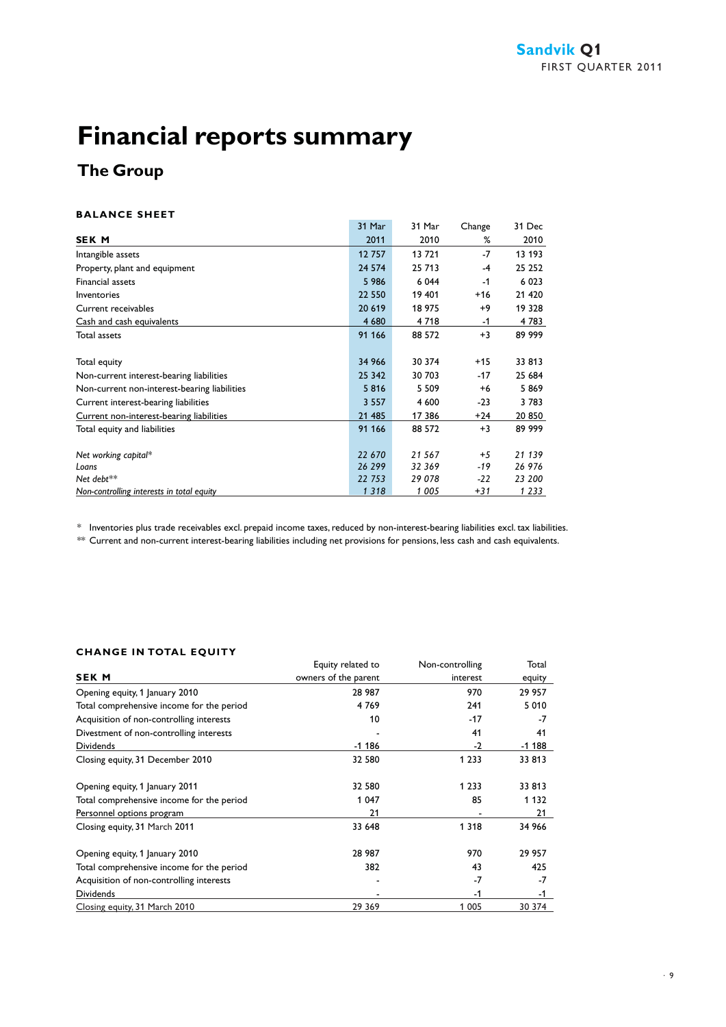### **The Group**

#### **BALANCE SHEET**

|                                              | 31 Mar  | 31 Mar  | Change | 31 Dec  |
|----------------------------------------------|---------|---------|--------|---------|
| <b>SEK M</b>                                 | 2011    | 2010    | %      | 2010    |
| Intangible assets                            | 12757   | 13 721  | $-7$   | 13 193  |
| Property, plant and equipment                | 24 5 74 | 25 713  | $-4$   | 25 25 2 |
| Financial assets                             | 5 9 8 6 | 6 0 4 4 | $-1$   | 6 0 23  |
| Inventories                                  | 22 550  | 19 401  | $+16$  | 21 4 20 |
| Current receivables                          | 20 619  | 18 975  | $+9$   | 19 328  |
| Cash and cash equivalents                    | 4 680   | 4 7 18  | -1     | 4 783   |
| Total assets                                 | 91 166  | 88 572  | $+3$   | 89 999  |
|                                              |         |         |        |         |
| Total equity                                 | 34 966  | 30 374  | $+15$  | 33 813  |
| Non-current interest-bearing liabilities     | 25 342  | 30 703  | $-17$  | 25 684  |
| Non-current non-interest-bearing liabilities | 5816    | 5 5 0 9 | $+6$   | 5869    |
| Current interest-bearing liabilities         | 3 5 5 7 | 4 600   | $-23$  | 3783    |
| Current non-interest-bearing liabilities     | 21 485  | 17 386  | $+24$  | 20 850  |
| Total equity and liabilities                 | 91 166  | 88 572  | $+3$   | 89 999  |
|                                              |         |         |        |         |
| Net working capital*                         | 22 670  | 21 567  | $+5$   | 21 139  |
| Loans                                        | 26 299  | 32 369  | -19    | 26 976  |
| Net debt**                                   | 22 753  | 29 078  | $-22$  | 23 200  |
| Non-controlling interests in total equity    | 1318    | 1 005   | +31    | 1 2 3 3 |

\* Inventories plus trade receivables excl. prepaid income taxes, reduced by non-interest-bearing liabilities excl. tax liabilities.

\*\* Current and non-current interest-bearing liabilities including net provisions for pensions, less cash and cash equivalents.

#### **CHANGE IN TOTAL EQUITY**

|                                           | Equity related to    | Non-controlling | Total   |
|-------------------------------------------|----------------------|-----------------|---------|
| <b>SEK M</b>                              | owners of the parent | interest        | equity  |
| Opening equity, 1 January 2010            | 28 987               | 970             | 29 957  |
| Total comprehensive income for the period | 4769                 | 241             | 5 0 1 0 |
| Acquisition of non-controlling interests  | 10                   | $-17$           | $-7$    |
| Divestment of non-controlling interests   |                      | 41              | 41      |
| <b>Dividends</b>                          | $-1186$              | $-2$            | $-1188$ |
| Closing equity, 31 December 2010          | 32 580               | 1 2 3 3         | 33 813  |
| Opening equity, 1 January 2011            | 32 580               | 1 2 3 3         | 33 813  |
| Total comprehensive income for the period | 1 0 4 7              | 85              | 1 1 3 2 |
| Personnel options program                 | 21                   |                 | 21      |
| Closing equity, 31 March 2011             | 33 648               | 1 3 1 8         | 34 966  |
| Opening equity, 1 January 2010            | 28 987               | 970             | 29 957  |
| Total comprehensive income for the period | 382                  | 43              | 425     |
| Acquisition of non-controlling interests  |                      | $-7$            | $-7$    |
| Dividends                                 |                      | -1              | -1      |
| Closing equity, 31 March 2010             | 29 369               | 1 0 0 5         | 30 374  |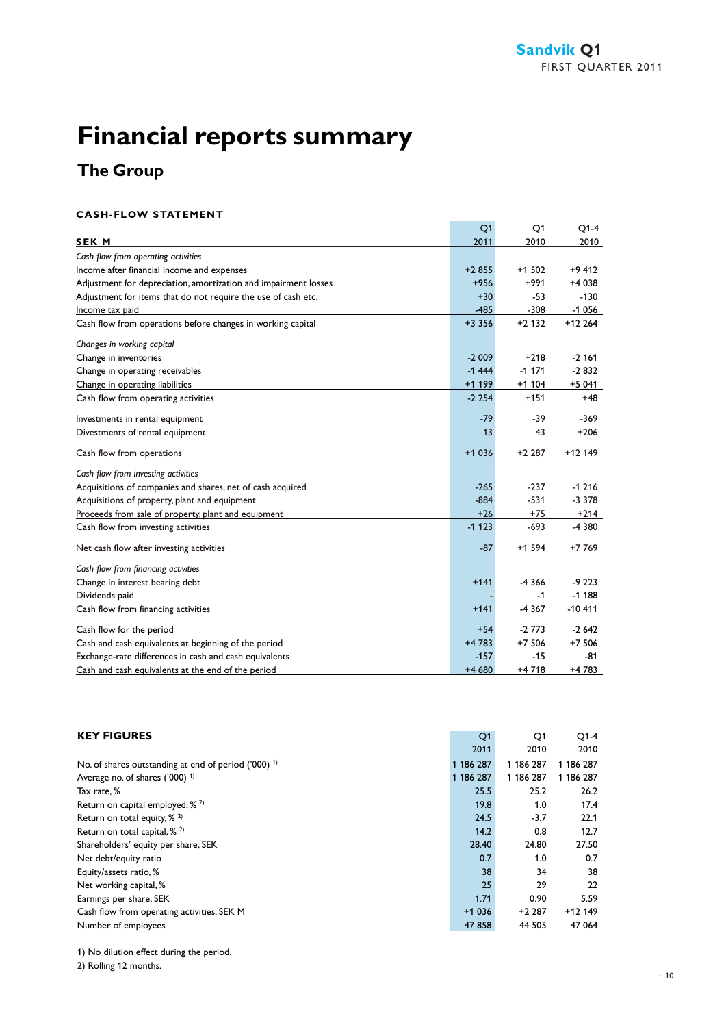### **The Group**

#### **CASH-FLOW STATEMENT**

|                                                                 | Q1       | Q1       | $Q1-4$   |
|-----------------------------------------------------------------|----------|----------|----------|
| <b>SEK M</b>                                                    | 2011     | 2010     | 2010     |
| Cash flow from operating activities                             |          |          |          |
| Income after financial income and expenses                      | $+2855$  | $+1502$  | $+9412$  |
| Adjustment for depreciation, amortization and impairment losses | $+956$   | $+991$   | +4 038   |
| Adjustment for items that do not require the use of cash etc.   | $+30$    | $-53$    | $-130$   |
| Income tax paid                                                 | $-485$   | $-308$   | $-1056$  |
| Cash flow from operations before changes in working capital     | $+3356$  | $+2132$  | $+12264$ |
| Changes in working capital                                      |          |          |          |
| Change in inventories                                           | $-2009$  | $+218$   | $-2,161$ |
| Change in operating receivables                                 | $-1444$  | $-1171$  | $-2832$  |
| Change in operating liabilities                                 | $+1$ 199 | $+1104$  | $+5041$  |
| Cash flow from operating activities                             | $-2254$  | $+151$   | $+48$    |
| Investments in rental equipment                                 | $-79$    | -39      | $-369$   |
| Divestments of rental equipment                                 | 13       | 43       | $+206$   |
| Cash flow from operations                                       | $+1036$  | $+2.287$ | $+12149$ |
| Cash flow from investing activities                             |          |          |          |
| Acquisitions of companies and shares, net of cash acquired      | $-265$   | $-237$   | $-1216$  |
| Acquisitions of property, plant and equipment                   | $-884$   | $-531$   | $-3,378$ |
| Proceeds from sale of property, plant and equipment             | $+26$    | $+75$    | $+214$   |
| Cash flow from investing activities                             | $-1123$  | $-693$   | -4 380   |
| Net cash flow after investing activities                        | $-87$    | $+1594$  | $+7769$  |
| Cash flow from financing activities                             |          |          |          |
| Change in interest bearing debt                                 | $+141$   | $-4366$  | $-9223$  |
| Dividends paid                                                  |          | -1       | $-1188$  |
| Cash flow from financing activities                             | $+141$   | $-4367$  | $-10411$ |
| Cash flow for the period                                        | $+54$    | $-2773$  | $-2642$  |
| Cash and cash equivalents at beginning of the period            | $+4783$  | $+7506$  | $+7506$  |
| Exchange-rate differences in cash and cash equivalents          | $-157$   | $-15$    | -81      |
| Cash and cash equivalents at the end of the period              | +4 680   | +4 718   | +4 783   |

| <b>KEY FIGURES</b>                                      | Q <sub>1</sub> | Q1        | Q1-4      |
|---------------------------------------------------------|----------------|-----------|-----------|
|                                                         | 2011           | 2010      | 2010      |
| No. of shares outstanding at end of period $(000)^{-1}$ | 1 186 287      | 1 186 287 | 1 186 287 |
| Average no. of shares $(7000)^{-1}$                     | 1 186 287      | 1 186 287 | 1 186 287 |
| Tax rate, %                                             | 25.5           | 25.2      | 26.2      |
| Return on capital employed, % 2)                        | 19.8           | 1.0       | 17.4      |
| Return on total equity, $\frac{2}{3}$                   | 24.5           | $-3.7$    | 22.1      |
| Return on total capital, $\frac{2}{3}$                  | 14.2           | 0.8       | 12.7      |
| Shareholders' equity per share, SEK                     | 28.40          | 24.80     | 27.50     |
| Net debt/equity ratio                                   | 0.7            | 1.0       | 0.7       |
| Equity/assets ratio, %                                  | 38             | 34        | 38        |
| Net working capital, %                                  | 25             | 29        | 22        |
| Earnings per share, SEK                                 | 1.71           | 0.90      | 5.59      |
| Cash flow from operating activities, SEK M              | $+1036$        | $+2287$   | $+12149$  |
| Number of employees                                     | 47858          | 44 505    | 47 064    |

1) No dilution effect during the period.

2) Rolling 12 months.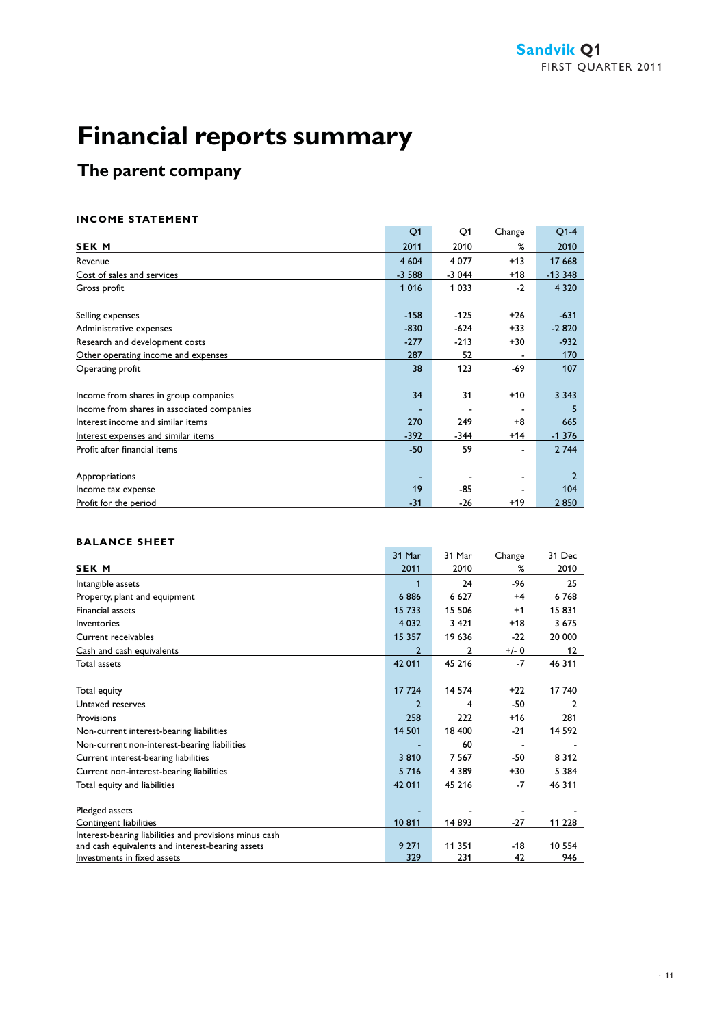### **The parent company**

#### **INCOME STATEMENT**

|                                            | Q1      | Q1      | Change | $O1-4$         |
|--------------------------------------------|---------|---------|--------|----------------|
| <b>SEK M</b>                               | 2011    | 2010    | %      | 2010           |
| Revenue                                    | 4 6 0 4 | 4 0 7 7 | $+13$  | 17 668         |
| Cost of sales and services                 | $-3588$ | $-3044$ | $+18$  | $-13348$       |
| Gross profit                               | 1 0 1 6 | 1 0 3 3 | $-2$   | 4 3 2 0        |
|                                            |         |         |        |                |
| Selling expenses                           | $-158$  | $-125$  | $+26$  | $-631$         |
| Administrative expenses                    | $-830$  | $-624$  | $+33$  | $-2820$        |
| Research and development costs             | $-277$  | $-213$  | $+30$  | $-932$         |
| Other operating income and expenses        | 287     | 52      |        | 170            |
| Operating profit                           | 38      | 123     | -69    | 107            |
|                                            |         |         |        |                |
| Income from shares in group companies      | 34      | 31      | $+10$  | 3 3 4 3        |
| Income from shares in associated companies |         |         |        | 5              |
| Interest income and similar items          | 270     | 249     | $+8$   | 665            |
| Interest expenses and similar items        | $-392$  | -344    | $+14$  | $-1376$        |
| Profit after financial items               | $-50$   | 59      |        | 2 744          |
|                                            |         |         |        |                |
| Appropriations                             |         |         |        | $\overline{2}$ |
| Income tax expense                         | 19      | -85     |        | 104            |
| Profit for the period                      | $-31$   | $-26$   | $+19$  | 2850           |

#### **BALANCE SHEET**

|                                                        | 31 Mar         | 31 Mar  | Change  | 31 Dec   |
|--------------------------------------------------------|----------------|---------|---------|----------|
| <b>SEK M</b>                                           | 2011           | 2010    | %       | 2010     |
| Intangible assets                                      | 1              | 24      | -96     | 25       |
| Property, plant and equipment                          | 6886           | 6 6 2 7 | $+4$    | 6768     |
| <b>Financial assets</b>                                | 15 733         | 15 506  | $+1$    | 15831    |
| Inventories                                            | 4 0 3 2        | 3 4 2 1 | $+18$   | 3 6 7 5  |
| Current receivables                                    | 15 357         | 19 636  | $-22$   | 20 000   |
| Cash and cash equivalents                              | $\overline{2}$ | 2       | $+/- 0$ | 12       |
| Total assets                                           | 42 011         | 45 216  | $-7$    | 46 311   |
|                                                        |                |         |         |          |
| Total equity                                           | 17 724         | 14 574  | $+22$   | 17 740   |
| Untaxed reserves                                       | $\overline{2}$ | 4       | -50     | 2        |
| Provisions                                             | 258            | 222     | $+16$   | 281      |
| Non-current interest-bearing liabilities               | 14 501         | 18 400  | $-21$   | 14 5 9 2 |
| Non-current non-interest-bearing liabilities           |                | 60      |         |          |
| Current interest-bearing liabilities                   | 3810           | 7 5 6 7 | $-50$   | 8 3 1 2  |
| Current non-interest-bearing liabilities               | 5 7 1 6        | 4 3 8 9 | $+30$   | 5 3 8 4  |
| Total equity and liabilities                           | 42 011         | 45 216  | $-7$    | 46 311   |
|                                                        |                |         |         |          |
| Pledged assets                                         |                |         |         |          |
| Contingent liabilities                                 | 10811          | 14 893  | $-27$   | 11 228   |
| Interest-bearing liabilities and provisions minus cash |                |         |         |          |
| and cash equivalents and interest-bearing assets       | 9 2 7 1        | 11 351  | $-18$   | 10 554   |
| Investments in fixed assets                            | 329            | 231     | 42      | 946      |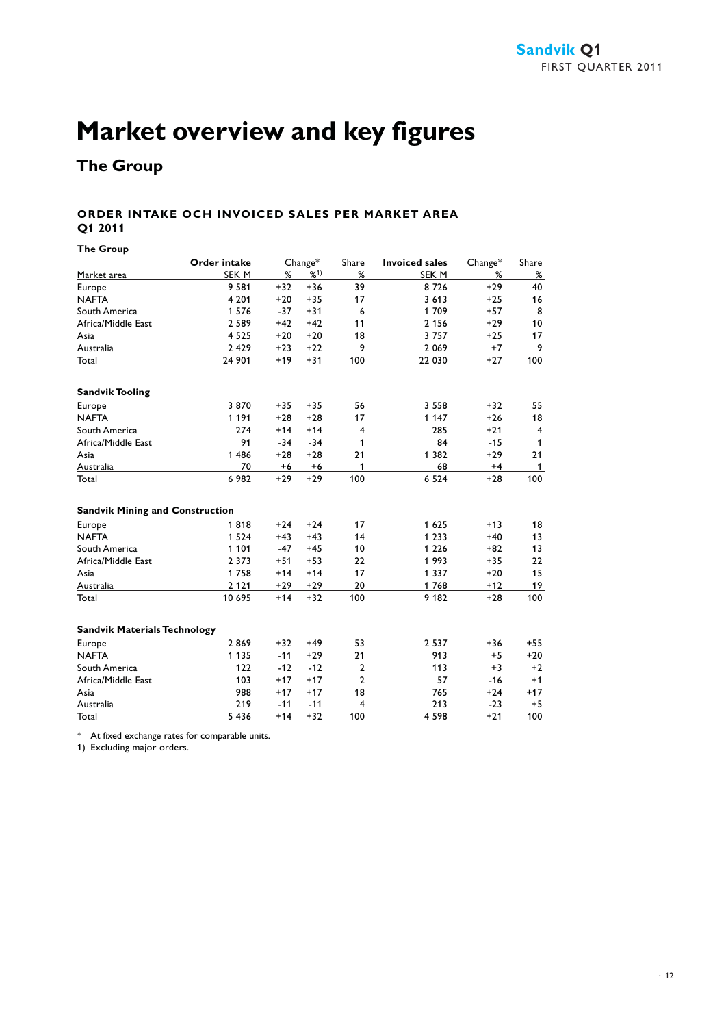## **Market overview and key figures**

### **The Group**

#### **ORDER INTAKE OCH INVOICED SALES PER MARKET AREA Q1 2011**

**The Group**

|                                        | <b>Order intake</b> |       | $Change*$ | Share                   | <b>Invoiced sales</b> | $Change*$ | Share          |
|----------------------------------------|---------------------|-------|-----------|-------------------------|-----------------------|-----------|----------------|
| Market area                            | SEK M               | %     | %1)       | %                       | SEK M                 | ℅         | %              |
| Europe                                 | 9 5 8 1             | $+32$ | $+36$     | 39                      | 8726                  | $+29$     | 40             |
| <b>NAFTA</b>                           | 4 2 0 1             | $+20$ | $+35$     | 17                      | 3 6 1 3               | $+25$     | 16             |
| South America                          | 1 5 7 6             | $-37$ | $+31$     | 6                       | 1709                  | $+57$     | 8              |
| Africa/Middle East                     | 2 5 8 9             | $+42$ | $+42$     | 11                      | 2 1 5 6               | $+29$     | 10             |
| Asia                                   | 4 5 2 5             | $+20$ | $+20$     | 18                      | 3757                  | $+25$     | 17             |
| Australia                              | 2 4 2 9             | $+23$ | $+22$     | 9                       | 2 0 6 9               | $+7$      | 9              |
| Total                                  | 24 901              | $+19$ | $+31$     | 100                     | 22 030                | $+27$     | 100            |
| <b>Sandvik Tooling</b>                 |                     |       |           |                         |                       |           |                |
| Europe                                 | 3870                | $+35$ | $+35$     | 56                      | 3 5 5 8               | $+32$     | 55             |
| <b>NAFTA</b>                           | 1 1 9 1             | $+28$ | $+28$     | 17                      | 1 1 4 7               | $+26$     | 18             |
| South America                          | 274                 | $+14$ | $+14$     | 4                       | 285                   | $+21$     | $\overline{4}$ |
| Africa/Middle East                     | 91                  | $-34$ | $-34$     | 1                       | 84                    | $-15$     | 1              |
| Asia                                   | 1 4 8 6             | $+28$ | $+28$     | 21                      | 1 3 8 2               | $+29$     | 21             |
| Australia                              | 70                  | $+6$  | $+6$      | 1                       | 68                    | $+4$      | $\mathbf{1}$   |
| Total                                  | 6 982               | $+29$ | $+29$     | 100                     | 6 5 2 4               | $+28$     | 100            |
| <b>Sandvik Mining and Construction</b> |                     |       |           |                         |                       |           |                |
| Europe                                 | 1818                | $+24$ | $+24$     | 17                      | 1625                  | $+13$     | 18             |
| <b>NAFTA</b>                           | 1 5 2 4             | $+43$ | $+43$     | 14                      | 1 2 3 3               | $+40$     | 13             |
| South America                          | 1 1 0 1             | $-47$ | $+45$     | 10                      | 1 2 2 6               | $+82$     | 13             |
| Africa/Middle East                     | 2 3 7 3             | $+51$ | $+53$     | 22                      | 1993                  | $+35$     | 22             |
| Asia                                   | 1758                | $+14$ | $+14$     | 17                      | 1 3 3 7               | $+20$     | 15             |
| Australia                              | 2 1 2 1             | $+29$ | $+29$     | 20                      | 1768                  | $+12$     | 19             |
| Total                                  | 10 695              | $+14$ | $+32$     | 100                     | 9 1 8 2               | $+28$     | 100            |
| <b>Sandvik Materials Technology</b>    |                     |       |           |                         |                       |           |                |
| Europe                                 | 2869                | $+32$ | $+49$     | 53                      | 2 5 3 7               | $+36$     | $+55$          |
| <b>NAFTA</b>                           | 1 1 3 5             | $-11$ | $+29$     | 21                      | 913                   | $+5$      | $+20$          |
| South America                          | 122                 | $-12$ | $-12$     | 2                       | 113                   | $+3$      | $+2$           |
| Africa/Middle East                     | 103                 | $+17$ | $+17$     | $\overline{2}$          | 57                    | $-16$     | $+1$           |
| Asia                                   | 988                 | $+17$ | $+17$     | 18                      | 765                   | $+24$     | $+17$          |
| Australia                              | 219                 | $-11$ | $-11$     | $\overline{\mathbf{4}}$ | 213                   | $-23$     | $+5$           |
| Total                                  | 5 4 3 6             | $+14$ | $+32$     | 100                     | 4 5 9 8               | $+21$     | 100            |

\* At fixed exchange rates for comparable units.

1) Excluding major orders.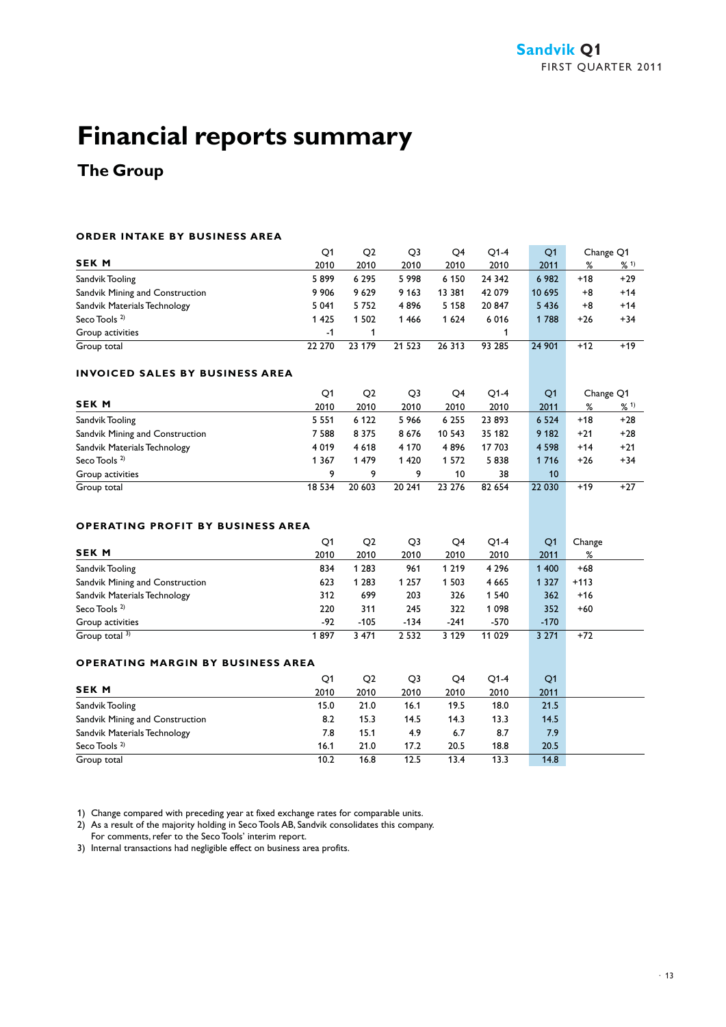### **The Group**

#### **ORDER INTAKE BY BUSINESS AREA**

|                                 | Q1      | Q2      | O3      | Q4      | O1-4   | O <sub>1</sub> |       | Change Q1 |
|---------------------------------|---------|---------|---------|---------|--------|----------------|-------|-----------|
| <b>SEKM</b>                     | 2010    | 2010    | 2010    | 2010    | 2010   | 2011           | %     | % 1)      |
| Sandvik Tooling                 | 5899    | 6 2 9 5 | 5998    | 6 1 5 0 | 24 342 | 6 9 8 2        | $+18$ | $+29$     |
| Sandvik Mining and Construction | 9906    | 9629    | 9 1 6 3 | 13 381  | 42 079 | 10 695         | $+8$  | $+14$     |
| Sandvik Materials Technology    | 5 0 4 1 | 5752    | 4896    | 5 1 5 8 | 20847  | 5 4 3 6        | $+8$  | $+14$     |
| Seco Tools $2$                  | 1425    | 1502    | 1466    | 1 624   | 6016   | 1 788          | $+26$ | $+34$     |
| Group activities                | -1      |         |         |         |        |                |       |           |
| Group total                     | 22 270  | 23 179  | 21 5 23 | 26 313  | 93 285 | 24 901         | +12   | $+19$     |

#### **INVOICED SALES BY BUSINESS AREA**

|                                 | O1      | O <sub>2</sub> | Q3      | O4      | $O1-4$ | O <sub>1</sub> |       | Change Q1 |
|---------------------------------|---------|----------------|---------|---------|--------|----------------|-------|-----------|
| <b>SEK M</b>                    | 2010    | 2010           | 2010    | 2010    | 2010   | 2011           | %     | %1        |
| Sandvik Tooling                 | 5 5 5 1 | 6 1 2 2        | 5966    | 6 2 5 5 | 23893  | 6 5 2 4        | $+18$ | $+28$     |
| Sandvik Mining and Construction | 7588    | 8 3 7 5        | 8676    | 10 543  | 35 182 | 9 1 8 2        | $+21$ | $+28$     |
| Sandvik Materials Technology    | 4 0 1 9 | 4 6 1 8        | 4 1 7 0 | 4896    | 17 703 | 4 5 9 8        | $+14$ | $+21$     |
| Seco Tools <sup>2)</sup>        | 1 3 6 7 | 1479           | 1420    | 1 572   | 5838   | 1 7 1 6        | $+26$ | $+34$     |
| Group activities                | 9       | 9              |         | 10      | 38     | 10             |       |           |
| Group total                     | 18 5 34 | 20 603         | 20 241  | 23 276  | 82 654 | 22 030         | +19   | $+27$     |

#### **OPERATING PROFIT BY BUSINESS AREA**

|                                 | Q1    | Q <sub>2</sub> | Q3      | Q4      | $O1-4$  | O <sub>1</sub> | Change |
|---------------------------------|-------|----------------|---------|---------|---------|----------------|--------|
| <b>SEK M</b>                    | 2010  | 2010           | 2010    | 2010    | 2010    | 2011           | %      |
| Sandvik Tooling                 | 834   | 1 283          | 961     | 1 219   | 4 2 9 6 | 1 400          | $+68$  |
| Sandvik Mining and Construction | 623   | 1 283          | 1 2 5 7 | 503     | 4 6 6 5 | 1 3 2 7        | $+113$ |
| Sandvik Materials Technology    | 312   | 699            | 203     | 326     | 1 540   | 362            | $+16$  |
| Seco Tools <sup>2)</sup>        | 220   | 311            | 245     | 322     | 1098    | 352            | $+60$  |
| Group activities                | $-92$ | $-105$         | $-134$  | $-241$  | -570    | $-170$         |        |
| Group total $3$ )               | 897   | 3 4 7 1        | 2 5 3 2 | 3 1 2 9 | 11 029  | 3 2 7 1        | $+72$  |

#### **OPERATING MARGIN BY BUSINESS AREA**

|                                 | Q1   | O <sub>2</sub> | Q3   | Q4   | $O1-4$ | Q <sub>1</sub> |
|---------------------------------|------|----------------|------|------|--------|----------------|
| <b>SEK M</b>                    | 2010 | 2010           | 2010 | 2010 | 2010   | 2011           |
| Sandvik Tooling                 | 15.0 | 21.0           | 16.1 | 19.5 | 18.0   | 21.5           |
| Sandvik Mining and Construction | 8.2  | 15.3           | 14.5 | 14.3 | 13.3   | 14.5           |
| Sandvik Materials Technology    | 7.8  | 15.1           | 4.9  | 6.7  | 8.7    | 7.9            |
| Seco Tools <sup>2)</sup>        | 16.1 | 21.0           | 17.2 | 20.5 | 18.8   | 20.5           |
| Group total                     | 10.2 | 16.8           | 12.5 | 13.4 | 13.3   | 14.8           |

1) Change compared with preceding year at fixed exchange rates for comparable units.

2) As a result of the majority holding in Seco Tools AB, Sandvik consolidates this company.

For comments, refer to the Seco Tools' interim report.

3) Internal transactions had negligible effect on business area profits.